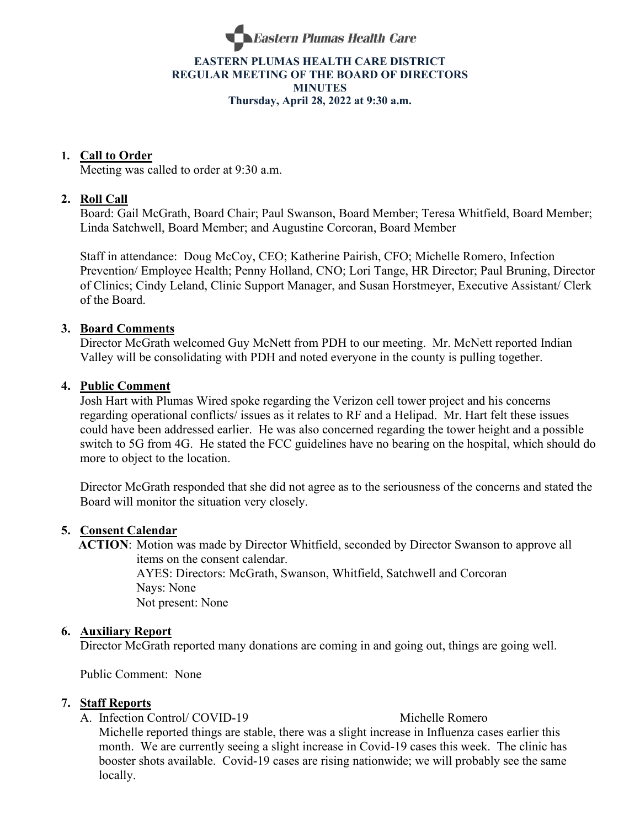

## **EASTERN PLUMAS HEALTH CARE DISTRICT REGULAR MEETING OF THE BOARD OF DIRECTORS MINUTES Thursday, April 28, 2022 at 9:30 a.m.**

## **1. Call to Order**

Meeting was called to order at 9:30 a.m.

## **2. Roll Call**

Board: Gail McGrath, Board Chair; Paul Swanson, Board Member; Teresa Whitfield, Board Member; Linda Satchwell, Board Member; and Augustine Corcoran, Board Member

Staff in attendance: Doug McCoy, CEO; Katherine Pairish, CFO; Michelle Romero, Infection Prevention/ Employee Health; Penny Holland, CNO; Lori Tange, HR Director; Paul Bruning, Director of Clinics; Cindy Leland, Clinic Support Manager, and Susan Horstmeyer, Executive Assistant/ Clerk of the Board.

#### **3. Board Comments**

Director McGrath welcomed Guy McNett from PDH to our meeting. Mr. McNett reported Indian Valley will be consolidating with PDH and noted everyone in the county is pulling together.

#### **4. Public Comment**

Josh Hart with Plumas Wired spoke regarding the Verizon cell tower project and his concerns regarding operational conflicts/ issues as it relates to RF and a Helipad. Mr. Hart felt these issues could have been addressed earlier. He was also concerned regarding the tower height and a possible switch to 5G from 4G. He stated the FCC guidelines have no bearing on the hospital, which should do more to object to the location.

Director McGrath responded that she did not agree as to the seriousness of the concerns and stated the Board will monitor the situation very closely.

#### **5. Consent Calendar**

 **ACTION**: Motion was made by Director Whitfield, seconded by Director Swanson to approve all items on the consent calendar. AYES: Directors: McGrath, Swanson, Whitfield, Satchwell and Corcoran Nays: None Not present: None

#### **6. Auxiliary Report**

Director McGrath reported many donations are coming in and going out, things are going well.

Public Comment: None

#### **7. Staff Reports**

A. Infection Control/ COVID-19 Michelle Romero

Michelle reported things are stable, there was a slight increase in Influenza cases earlier this month. We are currently seeing a slight increase in Covid-19 cases this week. The clinic has booster shots available. Covid-19 cases are rising nationwide; we will probably see the same locally.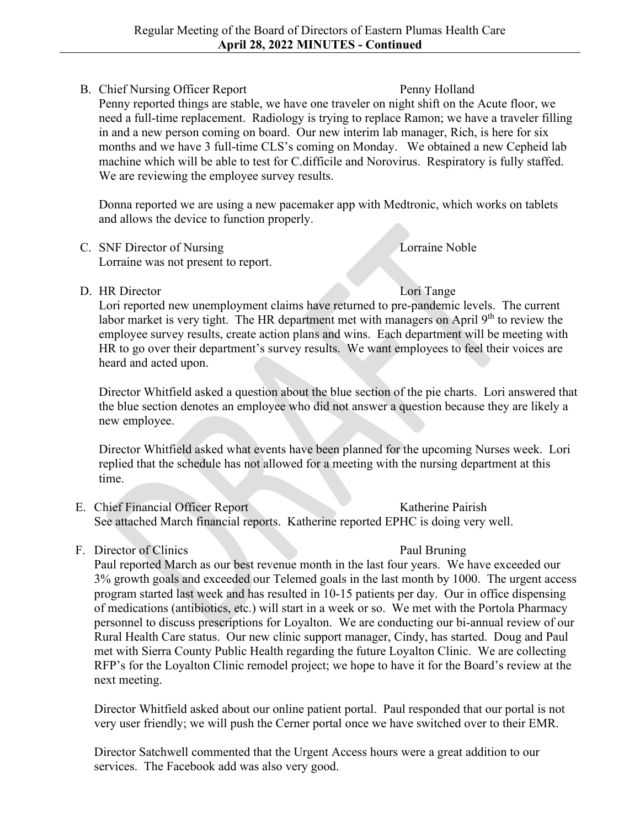# B. Chief Nursing Officer Report Penny Holland

Penny reported things are stable, we have one traveler on night shift on the Acute floor, we need a full-time replacement. Radiology is trying to replace Ramon; we have a traveler filling in and a new person coming on board. Our new interim lab manager, Rich, is here for six months and we have 3 full-time CLS's coming on Monday. We obtained a new Cepheid lab machine which will be able to test for C.difficile and Norovirus. Respiratory is fully staffed. We are reviewing the employee survey results.

Donna reported we are using a new pacemaker app with Medtronic, which works on tablets and allows the device to function properly.

- C. SNF Director of Nursing Lorraine Noble Lorraine was not present to report.
- 

D. HR Director Lori Tange Lori reported new unemployment claims have returned to pre-pandemic levels. The current labor market is very tight. The HR department met with managers on April 9<sup>th</sup> to review the employee survey results, create action plans and wins. Each department will be meeting with HR to go over their department's survey results. We want employees to feel their voices are heard and acted upon.

Director Whitfield asked a question about the blue section of the pie charts. Lori answered that the blue section denotes an employee who did not answer a question because they are likely a new employee.

Director Whitfield asked what events have been planned for the upcoming Nurses week. Lori replied that the schedule has not allowed for a meeting with the nursing department at this time.

- E. Chief Financial Officer Report Katherine Pairish See attached March financial reports. Katherine reported EPHC is doing very well.
- F. Director of Clinics Paul Bruning

Paul reported March as our best revenue month in the last four years. We have exceeded our 3% growth goals and exceeded our Telemed goals in the last month by 1000. The urgent access program started last week and has resulted in 10-15 patients per day. Our in office dispensing of medications (antibiotics, etc.) will start in a week or so. We met with the Portola Pharmacy personnel to discuss prescriptions for Loyalton. We are conducting our bi-annual review of our Rural Health Care status. Our new clinic support manager, Cindy, has started. Doug and Paul met with Sierra County Public Health regarding the future Loyalton Clinic. We are collecting RFP's for the Loyalton Clinic remodel project; we hope to have it for the Board's review at the next meeting.

Director Whitfield asked about our online patient portal. Paul responded that our portal is not very user friendly; we will push the Cerner portal once we have switched over to their EMR.

Director Satchwell commented that the Urgent Access hours were a great addition to our services. The Facebook add was also very good.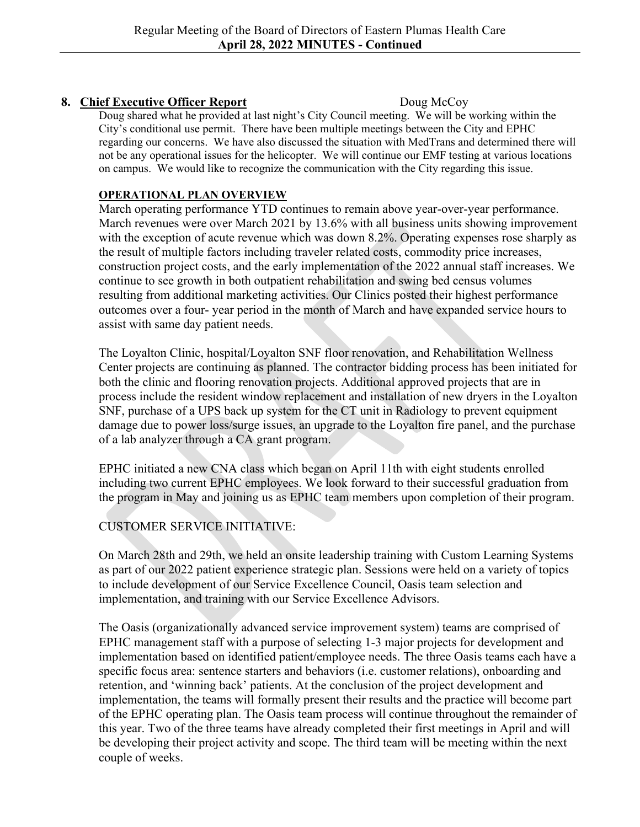# **8. Chief Executive Officer Report** Doug McCoy

Doug shared what he provided at last night's City Council meeting. We will be working within the City's conditional use permit. There have been multiple meetings between the City and EPHC regarding our concerns. We have also discussed the situation with MedTrans and determined there will not be any operational issues for the helicopter. We will continue our EMF testing at various locations on campus. We would like to recognize the communication with the City regarding this issue.

## **OPERATIONAL PLAN OVERVIEW**

March operating performance YTD continues to remain above year-over-year performance. March revenues were over March 2021 by 13.6% with all business units showing improvement with the exception of acute revenue which was down 8.2%. Operating expenses rose sharply as the result of multiple factors including traveler related costs, commodity price increases, construction project costs, and the early implementation of the 2022 annual staff increases. We continue to see growth in both outpatient rehabilitation and swing bed census volumes resulting from additional marketing activities. Our Clinics posted their highest performance outcomes over a four- year period in the month of March and have expanded service hours to assist with same day patient needs.

The Loyalton Clinic, hospital/Loyalton SNF floor renovation, and Rehabilitation Wellness Center projects are continuing as planned. The contractor bidding process has been initiated for both the clinic and flooring renovation projects. Additional approved projects that are in process include the resident window replacement and installation of new dryers in the Loyalton SNF, purchase of a UPS back up system for the CT unit in Radiology to prevent equipment damage due to power loss/surge issues, an upgrade to the Loyalton fire panel, and the purchase of a lab analyzer through a CA grant program.

EPHC initiated a new CNA class which began on April 11th with eight students enrolled including two current EPHC employees. We look forward to their successful graduation from the program in May and joining us as EPHC team members upon completion of their program.

# CUSTOMER SERVICE INITIATIVE:

On March 28th and 29th, we held an onsite leadership training with Custom Learning Systems as part of our 2022 patient experience strategic plan. Sessions were held on a variety of topics to include development of our Service Excellence Council, Oasis team selection and implementation, and training with our Service Excellence Advisors.

The Oasis (organizationally advanced service improvement system) teams are comprised of EPHC management staff with a purpose of selecting 1-3 major projects for development and implementation based on identified patient/employee needs. The three Oasis teams each have a specific focus area: sentence starters and behaviors (i.e. customer relations), onboarding and retention, and 'winning back' patients. At the conclusion of the project development and implementation, the teams will formally present their results and the practice will become part of the EPHC operating plan. The Oasis team process will continue throughout the remainder of this year. Two of the three teams have already completed their first meetings in April and will be developing their project activity and scope. The third team will be meeting within the next couple of weeks.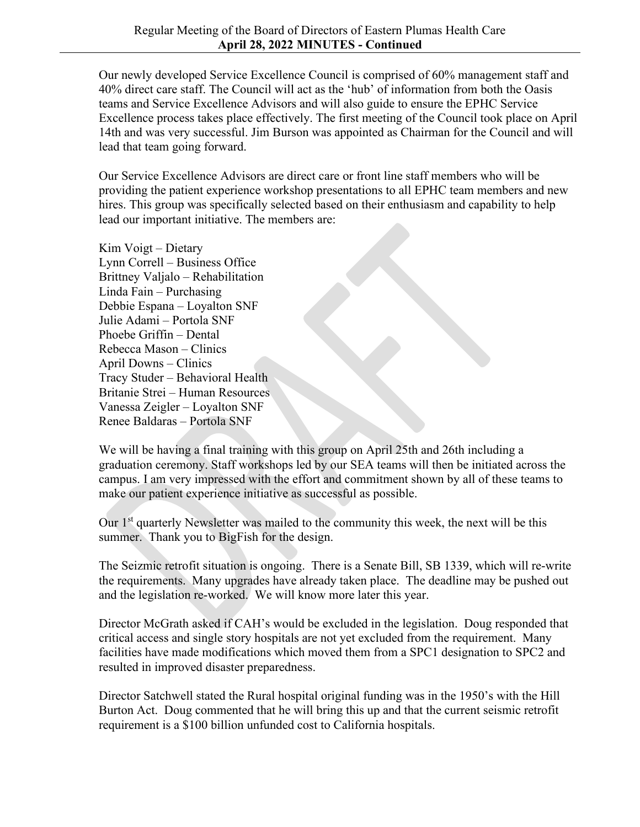Our newly developed Service Excellence Council is comprised of 60% management staff and 40% direct care staff. The Council will act as the 'hub' of information from both the Oasis teams and Service Excellence Advisors and will also guide to ensure the EPHC Service Excellence process takes place effectively. The first meeting of the Council took place on April 14th and was very successful. Jim Burson was appointed as Chairman for the Council and will lead that team going forward.

Our Service Excellence Advisors are direct care or front line staff members who will be providing the patient experience workshop presentations to all EPHC team members and new hires. This group was specifically selected based on their enthusiasm and capability to help lead our important initiative. The members are:

Kim Voigt – Dietary Lynn Correll – Business Office Brittney Valjalo – Rehabilitation Linda Fain – Purchasing Debbie Espana – Loyalton SNF Julie Adami – Portola SNF Phoebe Griffin – Dental Rebecca Mason – Clinics April Downs – Clinics Tracy Studer – Behavioral Health Britanie Strei – Human Resources Vanessa Zeigler – Loyalton SNF Renee Baldaras – Portola SNF

We will be having a final training with this group on April 25th and 26th including a graduation ceremony. Staff workshops led by our SEA teams will then be initiated across the campus. I am very impressed with the effort and commitment shown by all of these teams to make our patient experience initiative as successful as possible.

Our 1<sup>st</sup> quarterly Newsletter was mailed to the community this week, the next will be this summer. Thank you to BigFish for the design.

The Seizmic retrofit situation is ongoing. There is a Senate Bill, SB 1339, which will re-write the requirements. Many upgrades have already taken place. The deadline may be pushed out and the legislation re-worked. We will know more later this year.

Director McGrath asked if CAH's would be excluded in the legislation. Doug responded that critical access and single story hospitals are not yet excluded from the requirement. Many facilities have made modifications which moved them from a SPC1 designation to SPC2 and resulted in improved disaster preparedness.

Director Satchwell stated the Rural hospital original funding was in the 1950's with the Hill Burton Act. Doug commented that he will bring this up and that the current seismic retrofit requirement is a \$100 billion unfunded cost to California hospitals.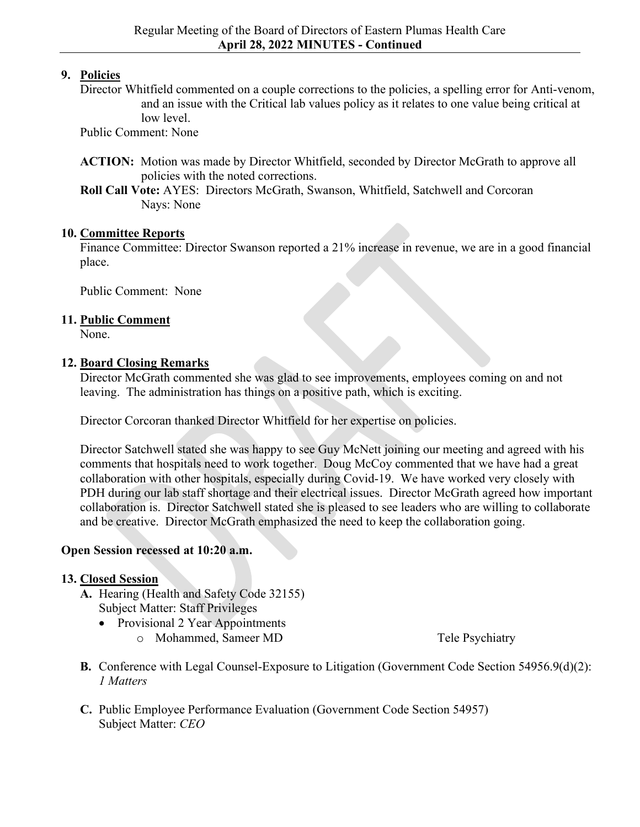# **9. Policies**

Director Whitfield commented on a couple corrections to the policies, a spelling error for Anti-venom, and an issue with the Critical lab values policy as it relates to one value being critical at low level.

Public Comment: None

- **ACTION:** Motion was made by Director Whitfield, seconded by Director McGrath to approve all policies with the noted corrections.
- **Roll Call Vote:** AYES: Directors McGrath, Swanson, Whitfield, Satchwell and Corcoran Nays: None

## **10. Committee Reports**

Finance Committee: Director Swanson reported a 21% increase in revenue, we are in a good financial place.

Public Comment: None

## **11. Public Comment**

None.

## **12. Board Closing Remarks**

Director McGrath commented she was glad to see improvements, employees coming on and not leaving. The administration has things on a positive path, which is exciting.

Director Corcoran thanked Director Whitfield for her expertise on policies.

Director Satchwell stated she was happy to see Guy McNett joining our meeting and agreed with his comments that hospitals need to work together. Doug McCoy commented that we have had a great collaboration with other hospitals, especially during Covid-19. We have worked very closely with PDH during our lab staff shortage and their electrical issues. Director McGrath agreed how important collaboration is. Director Satchwell stated she is pleased to see leaders who are willing to collaborate and be creative. Director McGrath emphasized the need to keep the collaboration going.

## **Open Session recessed at 10:20 a.m.**

# **13. Closed Session**

- **A.** Hearing (Health and Safety Code 32155) Subject Matter: Staff Privileges
	- Provisional 2 Year Appointments o Mohammed, Sameer MD Tele Psychiatry

- **B.** Conference with Legal Counsel-Exposure to Litigation (Government Code Section 54956.9(d)(2): *1 Matters*
- **C.** Public Employee Performance Evaluation (Government Code Section 54957) Subject Matter: *CEO*